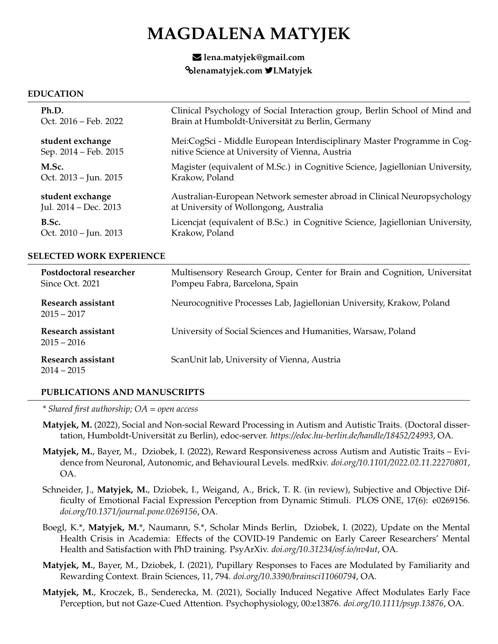# **MAGDALENA MATYJEK**

## R **lena.matyjek@gmail.com** ®**lenamatyjek.com** 7**LMatyjek**

#### **EDUCATION**

| Ph.D.                 | Clinical Psychology of Social Interaction group, Berlin School of Mind and     |
|-----------------------|--------------------------------------------------------------------------------|
| Oct. 2016 – Feb. 2022 | Brain at Humboldt-Universität zu Berlin, Germany                               |
| student exchange      | Mei:CogSci - Middle European Interdisciplinary Master Programme in Cog-        |
| Sep. 2014 – Feb. 2015 | nitive Science at University of Vienna, Austria                                |
| M.Sc.                 | Magister (equivalent of M.Sc.) in Cognitive Science, Jagiellonian University,  |
| Oct. 2013 – Jun. 2015 | Krakow, Poland                                                                 |
| student exchange      | Australian-European Network semester abroad in Clinical Neuropsychology        |
| Jul. 2014 - Dec. 2013 | at University of Wollongong, Australia                                         |
| B.Sc.                 | Licencjat (equivalent of B.Sc.) in Cognitive Science, Jagiellonian University, |
| Oct. 2010 – Jun. 2013 | Krakow, Poland                                                                 |

#### **SELECTED WORK EXPERIENCE**

| Postdoctoral researcher<br>Since Oct. 2021 | Multisensory Research Group, Center for Brain and Cognition, Universitat<br>Pompeu Fabra, Barcelona, Spain |
|--------------------------------------------|------------------------------------------------------------------------------------------------------------|
| Research assistant<br>$2015 - 2017$        | Neurocognitive Processes Lab, Jagiellonian University, Krakow, Poland                                      |
| Research assistant<br>$2015 - 2016$        | University of Social Sciences and Humanities, Warsaw, Poland                                               |
| Research assistant<br>$2014 - 2015$        | ScanUnit lab, University of Vienna, Austria                                                                |

## **PUBLICATIONS AND MANUSCRIPTS**

*\* Shared first authorship; OA = open access*

- **Matyjek, M.** (2022), Social and Non-social Reward Processing in Autism and Autistic Traits. (Doctoral dissertation, Humboldt-Universität zu Berlin), edoc-server. https://edoc.hu-berlin.de/handle/18452/24993, OA.
- **Matyjek, M.**, Bayer, M., Dziobek, I. (2022), Reward Responsiveness across Autism and Autistic Traits Evidence from Neuronal, Autonomic, and Behavioural Levels. medRxiv. *doi.org/10.1101/2022.02.11.22270801*, OA.
- Schneider, J., **Matyjek, M.**, Dziobek, I., Weigand, A., Brick, T. R. (in review), Subjective and Objective Difficulty of Emotional Facial Expression Perception from Dynamic Stimuli. PLOS ONE, 17(6): e0269156. *doi.org/10.1371/journal.pone.0269156*, OA.
- Boegl, K.\*, **Matyjek, M.**\*, Naumann, S.\*, Scholar Minds Berlin, Dziobek, I. (2022), Update on the Mental Health Crisis in Academia: Effects of the COVID-19 Pandemic on Early Career Researchers' Mental Health and Satisfaction with PhD training. PsyArXiv. *doi.org/10.31234/osf.io/nv4ut*, OA.
- **Matyjek, M.**, Bayer, M., Dziobek, I. (2021), Pupillary Responses to Faces are Modulated by Familiarity and Rewarding Context. Brain Sciences, 11, 794. *doi.org/10.3390/brainsci11060794*, OA.
- **Matyjek, M.**, Kroczek, B., Senderecka, M. (2021), Socially Induced Negative Affect Modulates Early Face Perception, but not Gaze-Cued Attention. Psychophysiology, 00:e13876. *doi.org/10.1111/psyp.13876*, OA.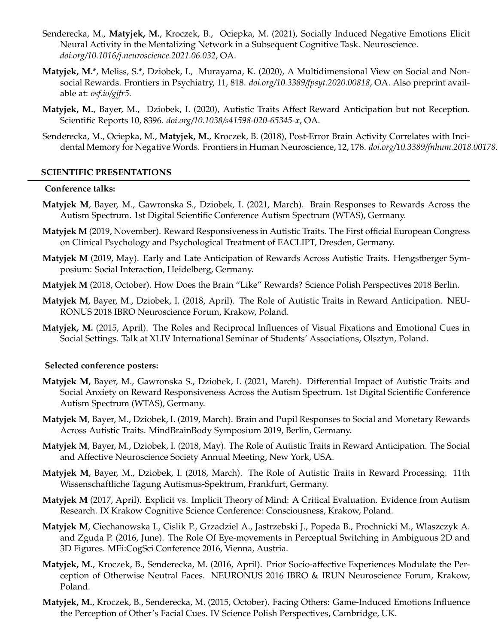- Senderecka, M., **Matyjek, M.**, Kroczek, B., Ociepka, M. (2021), Socially Induced Negative Emotions Elicit Neural Activity in the Mentalizing Network in a Subsequent Cognitive Task. Neuroscience. *doi.org/10.1016/j.neuroscience.2021.06.032*, OA.
- **Matyjek, M.**\*, Meliss, S.\*, Dziobek, I., Murayama, K. (2020), A Multidimensional View on Social and Nonsocial Rewards. Frontiers in Psychiatry, 11, 818. *doi.org/10.3389/fpsyt.2020.00818*, OA. Also preprint available at: *osf.io/gjfr5*.
- **Matyjek, M.**, Bayer, M., Dziobek, I. (2020), Autistic Traits Affect Reward Anticipation but not Reception. Scientific Reports 10, 8396. *doi.org/10.1038/s41598-020-65345-x*, OA.
- Senderecka, M., Ociepka, M., **Matyjek, M.**, Kroczek, B. (2018), Post-Error Brain Activity Correlates with Incidental Memory for Negative Words. Frontiers in Human Neuroscience, 12, 178. *doi.org/10.3389/fnhum.2018.00178*.

#### **SCIENTIFIC PRESENTATIONS**

#### **Conference talks:**

- **Matyjek M**, Bayer, M., Gawronska S., Dziobek, I. (2021, March). Brain Responses to Rewards Across the Autism Spectrum. 1st Digital Scientific Conference Autism Spectrum (WTAS), Germany.
- **Matyjek M** (2019, November). Reward Responsiveness in Autistic Traits. The First official European Congress on Clinical Psychology and Psychological Treatment of EACLIPT, Dresden, Germany.
- **Matyjek M** (2019, May). Early and Late Anticipation of Rewards Across Autistic Traits. Hengstberger Symposium: Social Interaction, Heidelberg, Germany.
- **Matyjek M** (2018, October). How Does the Brain "Like" Rewards? Science Polish Perspectives 2018 Berlin.
- **Matyjek M**, Bayer, M., Dziobek, I. (2018, April). The Role of Autistic Traits in Reward Anticipation. NEU-RONUS 2018 IBRO Neuroscience Forum, Krakow, Poland.
- **Matyjek, M.** (2015, April). The Roles and Reciprocal Influences of Visual Fixations and Emotional Cues in Social Settings. Talk at XLIV International Seminar of Students' Associations, Olsztyn, Poland.

#### **Selected conference posters:**

- **Matyjek M**, Bayer, M., Gawronska S., Dziobek, I. (2021, March). Differential Impact of Autistic Traits and Social Anxiety on Reward Responsiveness Across the Autism Spectrum. 1st Digital Scientific Conference Autism Spectrum (WTAS), Germany.
- **Matyjek M**, Bayer, M., Dziobek, I. (2019, March). Brain and Pupil Responses to Social and Monetary Rewards Across Autistic Traits. MindBrainBody Symposium 2019, Berlin, Germany.
- **Matyjek M**, Bayer, M., Dziobek, I. (2018, May). The Role of Autistic Traits in Reward Anticipation. The Social and Affective Neuroscience Society Annual Meeting, New York, USA.
- **Matyjek M**, Bayer, M., Dziobek, I. (2018, March). The Role of Autistic Traits in Reward Processing. 11th Wissenschaftliche Tagung Autismus-Spektrum, Frankfurt, Germany.
- **Matyjek M** (2017, April). Explicit vs. Implicit Theory of Mind: A Critical Evaluation. Evidence from Autism Research. IX Krakow Cognitive Science Conference: Consciousness, Krakow, Poland.
- **Matyjek M**, Ciechanowska I., Cislik P., Grzadziel A., Jastrzebski J., Popeda B., Prochnicki M., Wlaszczyk A. and Zguda P. (2016, June). The Role Of Eye-movements in Perceptual Switching in Ambiguous 2D and 3D Figures. MEi:CogSci Conference 2016, Vienna, Austria.
- **Matyjek, M.**, Kroczek, B., Senderecka, M. (2016, April). Prior Socio-affective Experiences Modulate the Perception of Otherwise Neutral Faces. NEURONUS 2016 IBRO & IRUN Neuroscience Forum, Krakow, Poland.
- **Matyjek, M.**, Kroczek, B., Senderecka, M. (2015, October). Facing Others: Game-Induced Emotions Influence the Perception of Other's Facial Cues. IV Science Polish Perspectives, Cambridge, UK.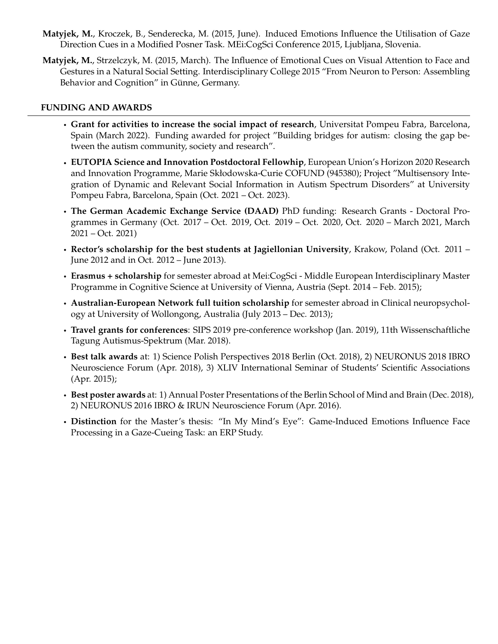- **Matyjek, M.**, Kroczek, B., Senderecka, M. (2015, June). Induced Emotions Influence the Utilisation of Gaze Direction Cues in a Modified Posner Task. MEi:CogSci Conference 2015, Ljubljana, Slovenia.
- **Matyjek, M.**, Strzelczyk, M. (2015, March). The Influence of Emotional Cues on Visual Attention to Face and Gestures in a Natural Social Setting. Interdisciplinary College 2015 "From Neuron to Person: Assembling Behavior and Cognition" in Günne, Germany.

## **FUNDING AND AWARDS**

- **Grant for activities to increase the social impact of research**, Universitat Pompeu Fabra, Barcelona, Spain (March 2022). Funding awarded for project "Building bridges for autism: closing the gap between the autism community, society and research".
- **EUTOPIA Science and Innovation Postdoctoral Fellowhip**, European Union's Horizon 2020 Research and Innovation Programme, Marie Skłodowska-Curie COFUND (945380); Project "Multisensory Integration of Dynamic and Relevant Social Information in Autism Spectrum Disorders" at University Pompeu Fabra, Barcelona, Spain (Oct. 2021 – Oct. 2023).
- **The German Academic Exchange Service (DAAD)** PhD funding: Research Grants Doctoral Programmes in Germany (Oct. 2017 – Oct. 2019, Oct. 2019 – Oct. 2020, Oct. 2020 – March 2021, March 2021 – Oct. 2021)
- **Rector's scholarship for the best students at Jagiellonian University**, Krakow, Poland (Oct. 2011 June 2012 and in Oct. 2012 – June 2013).
- **Erasmus + scholarship** for semester abroad at Mei:CogSci Middle European Interdisciplinary Master Programme in Cognitive Science at University of Vienna, Austria (Sept. 2014 – Feb. 2015);
- **Australian-European Network full tuition scholarship** for semester abroad in Clinical neuropsychology at University of Wollongong, Australia (July 2013 – Dec. 2013);
- **Travel grants for conferences**: SIPS 2019 pre-conference workshop (Jan. 2019), 11th Wissenschaftliche Tagung Autismus-Spektrum (Mar. 2018).
- **Best talk awards** at: 1) Science Polish Perspectives 2018 Berlin (Oct. 2018), 2) NEURONUS 2018 IBRO Neuroscience Forum (Apr. 2018), 3) XLIV International Seminar of Students' Scientific Associations (Apr. 2015);
- **Best poster awards** at: 1) Annual Poster Presentations of the Berlin School of Mind and Brain (Dec. 2018), 2) NEURONUS 2016 IBRO & IRUN Neuroscience Forum (Apr. 2016).
- **Distinction** for the Master's thesis: "In My Mind's Eye": Game-Induced Emotions Influence Face Processing in a Gaze-Cueing Task: an ERP Study.